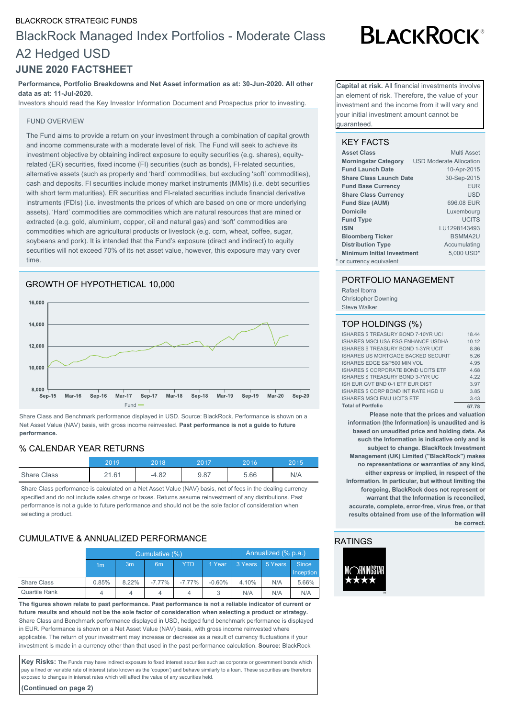#### BLACKROCK STRATEGIC FUNDS

# BlackRock Managed Index Portfolios - Moderate Class A2 Hedged USD **JUNE 2020 FACTSHEET**

# **Performance, Portfolio Breakdowns and Net Asset information as at: 30-Jun-2020. All other data as at: 11-Jul-2020.**

Investors should read the Key Investor Information Document and Prospectus prior to investing.

#### FUND OVERVIEW

The Fund aims to provide a return on your investment through a combination of capital growth and income commensurate with a moderate level of risk. The Fund will seek to achieve its investment objective by obtaining indirect exposure to equity securities (e.g. shares), equityrelated (ER) securities, fixed income (FI) securities (such as bonds), FI-related securities, alternative assets (such as property and 'hard' commodities, but excluding 'soft' commodities), cash and deposits. FI securities include money market instruments (MMIs) (i.e. debt securities with short term maturities). ER securities and FI-related securities include financial derivative instruments (FDIs) (i.e. investments the prices of which are based on one or more underlying assets). 'Hard' commodities are commodities which are natural resources that are mined or extracted (e.g. gold, aluminium, copper, oil and natural gas) and 'soft' commodities are commodities which are agricultural products or livestock (e.g. corn, wheat, coffee, sugar, soybeans and pork). It is intended that the Fund's exposure (direct and indirect) to equity securities will not exceed 70% of its net asset value, however, this exposure may vary over time.





Share Class and Benchmark performance displayed in USD. Source: BlackRock. Performance is shown on a Net Asset Value (NAV) basis, with gross income reinvested. **Past performance is not a guide to future performance.**

### % CALENDAR YEAR RETURNS

|                    | 20 1 C | 2018    | 2017 | 2016 | 2015 |
|--------------------|--------|---------|------|------|------|
| <b>Share Class</b> | 21.61  | $-4.82$ | 9.87 | 5.66 | N/A  |

Share Class performance is calculated on a Net Asset Value (NAV) basis, net of fees in the dealing currency specified and do not include sales charge or taxes. Returns assume reinvestment of any distributions. Past performance is not a guide to future performance and should not be the sole factor of consideration when selecting a product.

### CUMULATIVE & ANNUALIZED PERFORMANCE

|                      | Cumulative (%) |                |                |            |          | Annualized (% p.a.) |         |                  |
|----------------------|----------------|----------------|----------------|------------|----------|---------------------|---------|------------------|
|                      | 1 <sub>m</sub> | 3 <sub>m</sub> | 6 <sub>m</sub> | <b>YTD</b> | 1 Year   | 3 Years             | 5 Years | <b>Since</b>     |
|                      |                |                |                |            |          |                     |         | <b>Inception</b> |
| Share Class          | 0.85%          | 8.22%          | $-7.77%$       | $-7.77%$   | $-0.60%$ | 4.10%               | N/A     | 5.66%            |
| <b>Quartile Rank</b> | 4              | 4              | 4              |            |          | N/A                 | N/A     | N/A              |

**The figures shown relate to past performance. Past performance is not a reliable indicator of current or future results and should not be the sole factor of consideration when selecting a product or strategy.** Share Class and Benchmark performance displayed in USD, hedged fund benchmark performance is displayed in EUR. Performance is shown on a Net Asset Value (NAV) basis, with gross income reinvested where applicable. The return of your investment may increase or decrease as a result of currency fluctuations if your investment is made in a currency other than that used in the past performance calculation. **Source:** BlackRock

Key Risks: The Funds may have indirect exposure to fixed interest securities such as corporate or government bonds which pay a fixed or variable rate of interest (also known as the 'coupon') and behave similarly to a loan. These securities are therefore exposed to changes in interest rates which will affect the value of any securities held.

**(Continued on page 2)**

# **BLACKROCK®**

**Capital at risk.** All financial investments involve an element of risk. Therefore, the value of your nvestment and the income from it will vary and your initial investment amount cannot be guaranteed.

#### KEY FACTS

| <b>Asset Class</b>                | Multi Asset                    |
|-----------------------------------|--------------------------------|
| <b>Morningstar Category</b>       | <b>USD Moderate Allocation</b> |
| <b>Fund Launch Date</b>           | 10-Apr-2015                    |
| <b>Share Class Launch Date</b>    | 30-Sep-2015                    |
| <b>Fund Base Currency</b>         | <b>EUR</b>                     |
| <b>Share Class Currency</b>       | <b>USD</b>                     |
| <b>Fund Size (AUM)</b>            | 696.08 EUR                     |
| <b>Domicile</b>                   | Luxembourg                     |
| <b>Fund Type</b>                  | <b>UCITS</b>                   |
| <b>ISIN</b>                       | LU1298143493                   |
| <b>Bloomberg Ticker</b>           | <b>BSMMA2U</b>                 |
| <b>Distribution Type</b>          | Accumulating                   |
| <b>Minimum Initial Investment</b> | 5.000 USD*                     |
| * or currency equivalent          |                                |

#### PORTFOLIO MANAGEMENT

Rafael Iborra Christopher Downing Steve Walker

#### TOP HOLDINGS (%)

| ISHARES \$ TREASURY BOND 7-10YR UCI        | 18.44 |
|--------------------------------------------|-------|
| ISHARES MSCI USA ESG ENHANCE USDHA         | 10.12 |
| <b>ISHARES \$ TREASURY BOND 1-3YR UCIT</b> | 8.86  |
| ISHARES US MORTGAGE BACKED SECURIT         | 5.26  |
| ISHARES EDGE S&P500 MIN VOL                | 4.95  |
| ISHARES \$ CORPORATE BOND UCITS ETF        | 4.68  |
| ISHARES \$TREASURY BOND 3-7YR UC           | 4 2 2 |
| ISH EUR GVT BND 0-1 ETF EUR DIST           | 3.97  |
| ISHARES \$ CORP BOND INT RATE HGD U        | 3.85  |
| <b>ISHARES MSCI EMU UCITS ETF</b>          | 3.43  |
| <b>Total of Portfolio</b>                  | 67.78 |

**Please note that the prices and valuation information (the Information) is unaudited and is based on unaudited price and holding data. As such the Information is indicative only and is subject to change. BlackRock Investment Management (UK) Limited ("BlackRock") makes no representations or warranties of any kind, either express or implied, in respect of the Information. In particular, but without limiting the foregoing, BlackRock does not represent or warrant that the Information is reconciled, accurate, complete, error-free, virus free, or that results obtained from use of the Information will be correct.**

#### RATINGS